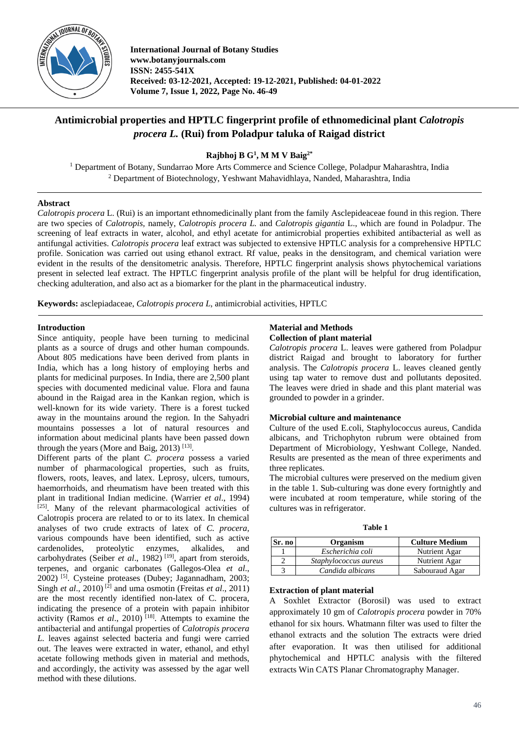

**International Journal of Botany Studies www.botanyjournals.com ISSN: 2455-541X Received: 03-12-2021, Accepted: 19-12-2021, Published: 04-01-2022 Volume 7, Issue 1, 2022, Page No. 46-49**

# **Antimicrobial properties and HPTLC fingerprint profile of ethnomedicinal plant** *Calotropis procera L.* **(Rui) from Poladpur taluka of Raigad district**

**Rajbhoj B G<sup>1</sup> , M M V Baig2\***

<sup>1</sup> Department of Botany, Sundarrao More Arts Commerce and Science College, Poladpur Maharashtra, India <sup>2</sup> Department of Biotechnology, Yeshwant Mahavidhlaya, Nanded, Maharashtra, India

# **Abstract**

*Calotropis procera* L. (Rui) is an important ethnomedicinally plant from the family Asclepideaceae found in this region. There are two species of *Calotropis,* namely, *Calotropis procera L.* and *Calotropis gigantia* L., which are found in Poladpur. The screening of leaf extracts in water, alcohol, and ethyl acetate for antimicrobial properties exhibited antibacterial as well as antifungal activities. *Calotropis procera* leaf extract was subjected to extensive HPTLC analysis for a comprehensive HPTLC profile. Sonication was carried out using ethanol extract. Rf value, peaks in the densitogram, and chemical variation were evident in the results of the densitometric analysis. Therefore, HPTLC fingerprint analysis shows phytochemical variations present in selected leaf extract. The HPTLC fingerprint analysis profile of the plant will be helpful for drug identification, checking adulteration, and also act as a biomarker for the plant in the pharmaceutical industry.

**Keywords:** asclepiadaceae, *Calotropis procera L*, antimicrobial activities, HPTLC

# **Introduction**

Since antiquity, people have been turning to medicinal plants as a source of drugs and other human compounds. About 805 medications have been derived from plants in India, which has a long history of employing herbs and plants for medicinal purposes. In India, there are 2,500 plant species with documented medicinal value. Flora and fauna abound in the Raigad area in the Kankan region, which is well-known for its wide variety. There is a forest tucked away in the mountains around the region. In the Sahyadri mountains possesses a lot of natural resources and information about medicinal plants have been passed down through the years (More and Baig, 2013)<sup>[13]</sup>.

Different parts of the plant *C. procera* possess a varied number of pharmacological properties, such as fruits, flowers, roots, leaves, and latex. Leprosy, ulcers, tumours, haemorrhoids, and rheumatism have been treated with this plant in traditional Indian medicine. (Warrier *et al*., 1994) [25]. Many of the relevant pharmacological activities of Calotropis procera are related to or to its latex. In chemical analyses of two crude extracts of latex of *C. procera,* various compounds have been identified, such as active cardenolides, proteolytic enzymes, alkalides, and carbohydrates (Seiber *et al.*, 1982)<sup>[19]</sup>, apart from steroids, terpenes, and organic carbonates (Gallegos-Olea *et al*., 2002) [5] . Cysteine proteases (Dubey; Jagannadham, 2003; Singh *et al.*, 2010)<sup>[2]</sup> and uma osmotin (Freitas *et al.*, 2011) are the most recently identified non-latex of C. procera, indicating the presence of a protein with papain inhibitor activity (Ramos *et al*., 2010) [18] . Attempts to examine the antibacterial and antifungal properties of *Calotropis procera L.* leaves against selected bacteria and fungi were carried out. The leaves were extracted in water, ethanol, and ethyl acetate following methods given in material and methods, and accordingly, the activity was assessed by the agar well method with these dilutions.

## **Material and Methods Collection of plant material**

*Calotropis procera* L. leaves were gathered from Poladpur district Raigad and brought to laboratory for further analysis. The *Calotropis procera* L. leaves cleaned gently using tap water to remove dust and pollutants deposited. The leaves were dried in shade and this plant material was grounded to powder in a grinder.

# **Microbial culture and maintenance**

Culture of the used E.coli, Staphylococcus aureus, Candida albicans, and Trichophyton rubrum were obtained from Department of Microbiology, Yeshwant College, Nanded. Results are presented as the mean of three experiments and three replicates.

The microbial cultures were preserved on the medium given in the table 1. Sub-culturing was done every fortnightly and were incubated at room temperature, while storing of the cultures was in refrigerator.

| ١<br>۰, |  |
|---------|--|
|---------|--|

| Sr. no | Organism              | <b>Culture Medium</b> |
|--------|-----------------------|-----------------------|
|        | Escherichia coli      | Nutrient Agar         |
|        | Staphylococcus aureus | Nutrient Agar         |
|        | Candida albicans      | Sabouraud Agar        |

## **Extraction of plant material**

A Soxhlet Extractor (Borosil) was used to extract approximately 10 gm of *Calotropis procera* powder in 70% ethanol for six hours. Whatmann filter was used to filter the ethanol extracts and the solution The extracts were dried after evaporation. It was then utilised for additional phytochemical and HPTLC analysis with the filtered extracts Win CATS Planar Chromatography Manager.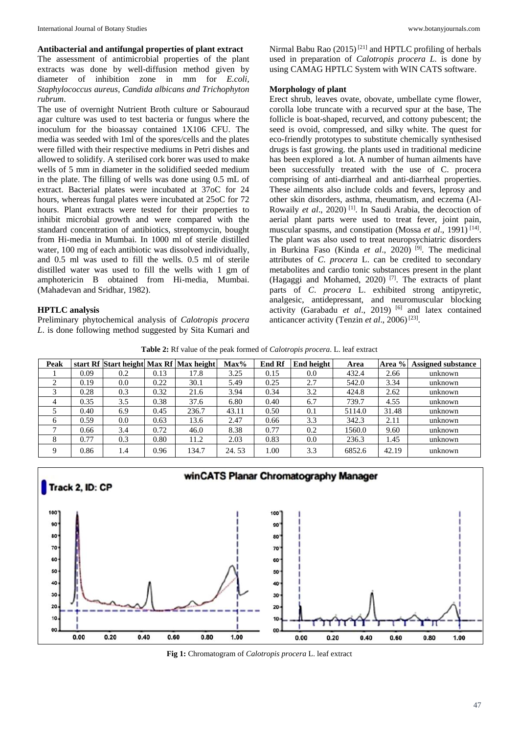**Antibacterial and antifungal properties of plant extract**

The assessment of antimicrobial properties of the plant extracts was done by well-diffusion method given by diameter of inhibition zone in mm for *E.coli, Staphylococcus aureus, Candida albicans and Trichophyton rubrum*.

The use of overnight Nutrient Broth culture or Sabouraud agar culture was used to test bacteria or fungus where the inoculum for the bioassay contained 1X106 CFU. The media was seeded with 1ml of the spores/cells and the plates were filled with their respective mediums in Petri dishes and allowed to solidify. A sterilised cork borer was used to make wells of 5 mm in diameter in the solidified seeded medium in the plate. The filling of wells was done using 0.5 mL of extract. Bacterial plates were incubated at 37oC for 24 hours, whereas fungal plates were incubated at 25oC for 72 hours. Plant extracts were tested for their properties to inhibit microbial growth and were compared with the standard concentration of antibiotics, streptomycin, bought from Hi-media in Mumbai. In 1000 ml of sterile distilled water, 100 mg of each antibiotic was dissolved individually, and 0.5 ml was used to fill the wells. 0.5 ml of sterile distilled water was used to fill the wells with 1 gm of amphotericin B obtained from Hi-media, Mumbai. (Mahadevan and Sridhar, 1982).

## **HPTLC analysis**

Preliminary phytochemical analysis of *Calotropis procera L*. is done following method suggested by Sita Kumari and

Nirmal Babu Rao  $(2015)^{[21]}$  and HPTLC profiling of herbals used in preparation of *Calotropis procera L.* is done by using CAMAG HPTLC System with WIN CATS software.

#### **Morphology of plant**

Erect shrub, leaves ovate, obovate, umbellate cyme flower, corolla lobe truncate with a recurved spur at the base, The follicle is boat-shaped, recurved, and cottony pubescent; the seed is ovoid, compressed, and silky white. The quest for eco-friendly prototypes to substitute chemically synthesised drugs is fast growing. the plants used in traditional medicine has been explored a lot. A number of human ailments have been successfully treated with the use of C. procera comprising of anti-diarrheal and anti-diarrheal properties. These ailments also include colds and fevers, leprosy and other skin disorders, asthma, rheumatism, and eczema (Al-Rowaily et al., 2020)<sup>[1]</sup>. In Saudi Arabia, the decoction of aerial plant parts were used to treat fever, joint pain, muscular spasms, and constipation (Mossa *et al.*, 1991)<sup>[14]</sup>. The plant was also used to treat neuropsychiatric disorders in Burkina Faso (Kinda *et al*., 2020) [9] . The medicinal attributes of *C*. *procera* L. can be credited to secondary metabolites and cardio tonic substances present in the plant (Hagaggi and Mohamed, 2020) [7] . The extracts of plant parts of *C*. *procera* L. exhibited strong antipyretic, analgesic, antidepressant, and neuromuscular blocking activity (Garabadu et al., 2019)<sup>[6]</sup> and latex contained anticancer activity (Tenzin et al., 2006)<sup>[23]</sup>.

**Table 2:** Rf value of the peak formed of *Calotropis procera*. L. leaf extract

| Peak |      | start Rf Start height Max Rf Max height |      |       | Max%  | <b>End Rf</b> | End height | Area   | Area % | <b>Assigned substance</b> |
|------|------|-----------------------------------------|------|-------|-------|---------------|------------|--------|--------|---------------------------|
|      | 0.09 | 0.2                                     | 0.13 | 17.8  | 3.25  | 0.15          | 0.0        | 432.4  | 2.66   | unknown                   |
| ◠    | 0.19 | 0.0                                     | 0.22 | 30.1  | 5.49  | 0.25          | 2.7        | 542.0  | 3.34   | unknown                   |
|      | 0.28 | 0.3                                     | 0.32 | 21.6  | 3.94  | 0.34          | 3.2        | 424.8  | 2.62   | unknown                   |
| 4    | 0.35 | 3.5                                     | 0.38 | 37.6  | 6.80  | 0.40          | 6.7        | 739.7  | 4.55   | unknown                   |
|      | 0.40 | 6.9                                     | 0.45 | 236.7 | 43.11 | 0.50          | 0.1        | 5114.0 | 31.48  | unknown                   |
| 6    | 0.59 | 0.0                                     | 0.63 | 13.6  | 2.47  | 0.66          | 3.3        | 342.3  | 2.11   | unknown                   |
|      | 0.66 | 3.4                                     | 0.72 | 46.0  | 8.38  | 0.77          | 0.2        | 1560.0 | 9.60   | unknown                   |
| 8    | 0.77 | 0.3                                     | 0.80 | 11.2  | 2.03  | 0.83          | 0.0        | 236.3  | 1.45   | unknown                   |
| 9    | 0.86 | 1.4                                     | 0.96 | 134.7 | 24.53 | 00.1          | 3.3        | 6852.6 | 42.19  | unknown                   |



**Fig 1:** Chromatogram of *Calotropis procera* L. leaf extract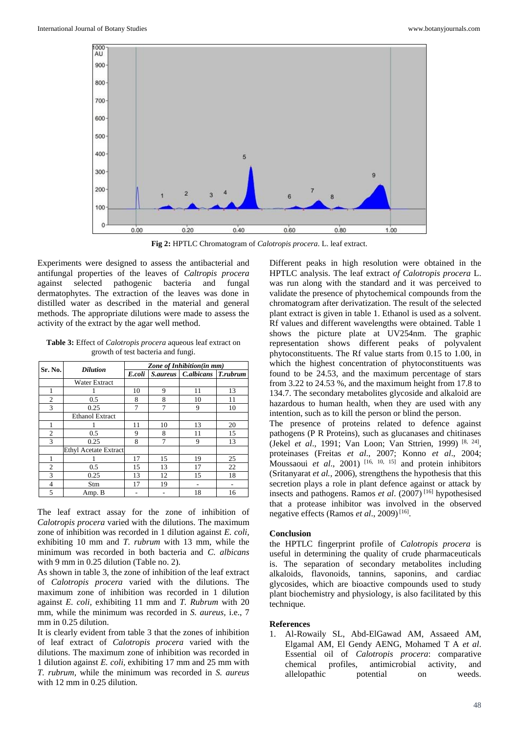

**Fig 2:** HPTLC Chromatogram of *Calotropis procera*. L. leaf extract.

Experiments were designed to assess the antibacterial and antifungal properties of the leaves of *Caltropis procera*  against selected pathogenic bacteria and fungal dermatophytes. The extraction of the leaves was done in distilled water as described in the material and general methods. The appropriate dilutions were made to assess the activity of the extract by the agar well method.

**Table 3:** Effect of *Calotropis procera* aqueous leaf extract on growth of test bacteria and fungi.

| Sr. No.        | <b>Dilution</b>              | Zone of Inhibition(in mm) |    |                     |                 |  |  |
|----------------|------------------------------|---------------------------|----|---------------------|-----------------|--|--|
|                |                              | E.coli                    |    | S.aureus C.albicans | <b>T.rubrum</b> |  |  |
|                | <b>Water Extract</b>         |                           |    |                     |                 |  |  |
| 1              |                              | 10                        | 9  | 11                  | 13              |  |  |
| $\overline{2}$ | 0.5                          | 8                         | 8  | 10                  | 11              |  |  |
| 3              | 0.25                         | 7                         | 7  | 9                   | 10              |  |  |
|                | <b>Ethanol Extract</b>       |                           |    |                     |                 |  |  |
| 1              |                              | 11                        | 10 | 13                  | 20              |  |  |
| $\overline{c}$ | 0.5                          | 9                         | 8  | 11                  | 15              |  |  |
| 3              | 0.25                         | 8                         | 7  | 9                   | 13              |  |  |
|                | <b>Ethyl Acetate Extract</b> |                           |    |                     |                 |  |  |
|                |                              | 17                        | 15 | 19                  | 25              |  |  |
| $\overline{c}$ | 0.5                          | 15                        | 13 | 17                  | 22              |  |  |
| 3              | 0.25                         | 13                        | 12 | 15                  | 18              |  |  |
| 4              | Stm                          | 17                        | 19 | ۰                   |                 |  |  |
| 5              | Amp. B                       |                           |    | 18                  | 16              |  |  |

The leaf extract assay for the zone of inhibition of *Calotropis procera* varied with the dilutions. The maximum zone of inhibition was recorded in 1 dilution against *E. coli,* exhibiting 10 mm and *T. rubrum* with 13 mm, while the minimum was recorded in both bacteria and *C. albicans* with 9 mm in 0.25 dilution (Table no. 2).

As shown in table 3, the zone of inhibition of the leaf extract of *Calotropis procera* varied with the dilutions. The maximum zone of inhibition was recorded in 1 dilution against *E. coli,* exhibiting 11 mm and *T. Rubrum* with 20 mm, while the minimum was recorded in *S. aureus,* i.e., 7 mm in 0.25 dilution.

It is clearly evident from table 3 that the zones of inhibition of leaf extract of *Calotropis procera* varied with the dilutions. The maximum zone of inhibition was recorded in 1 dilution against *E. coli,* exhibiting 17 mm and 25 mm with *T. rubrum,* while the minimum was recorded in *S. aureus* with 12 mm in 0.25 dilution.

Different peaks in high resolution were obtained in the HPTLC analysis. The leaf extract *of Calotropis procera* L. was run along with the standard and it was perceived to validate the presence of phytochemical compounds from the chromatogram after derivatization. The result of the selected plant extract is given in table 1. Ethanol is used as a solvent. Rf values and different wavelengths were obtained. Table 1 shows the picture plate at UV254nm. The graphic representation shows different peaks of polyvalent phytoconstituents. The Rf value starts from 0.15 to 1.00, in which the highest concentration of phytoconstituents was found to be 24.53, and the maximum percentage of stars from 3.22 to 24.53 %, and the maximum height from 17.8 to 134.7. The secondary metabolites glycoside and alkaloid are hazardous to human health, when they are used with any intention, such as to kill the person or blind the person.

The presence of proteins related to defence against pathogens (P R Proteins), such as glucanases and chitinases (Jekel *et al*., 1991; Van Loon; Van Sttrien, 1999) [8, 24] , proteinases (Freitas *et al*., 2007; Konno *et al*., 2004; Moussaoui *et al.*, 2001)<sup>[16, 10, 15] and protein inhibitors</sup> (Sritanyarat *et al.,* 2006), strengthens the hypothesis that this secretion plays a role in plant defence against or attack by insects and pathogens. Ramos *et al*. (2007) [16] hypothesised that a protease inhibitor was involved in the observed negative effects (Ramos et al., 2009)<sup>[16]</sup>.

#### **Conclusion**

the HPTLC fingerprint profile of *Calotropis procera* is useful in determining the quality of crude pharmaceuticals is. The separation of secondary metabolites including alkaloids, flavonoids, tannins, saponins, and cardiac glycosides, which are bioactive compounds used to study plant biochemistry and physiology, is also facilitated by this technique.

#### **References**

1. Al-Rowaily SL, Abd-ElGawad AM, Assaeed AM, Elgamal AM, El Gendy AENG, Mohamed T A *et al*. Essential oil of *Calotropis procera*: comparative chemical profiles, antimicrobial activity, and allelopathic potential on weeds.